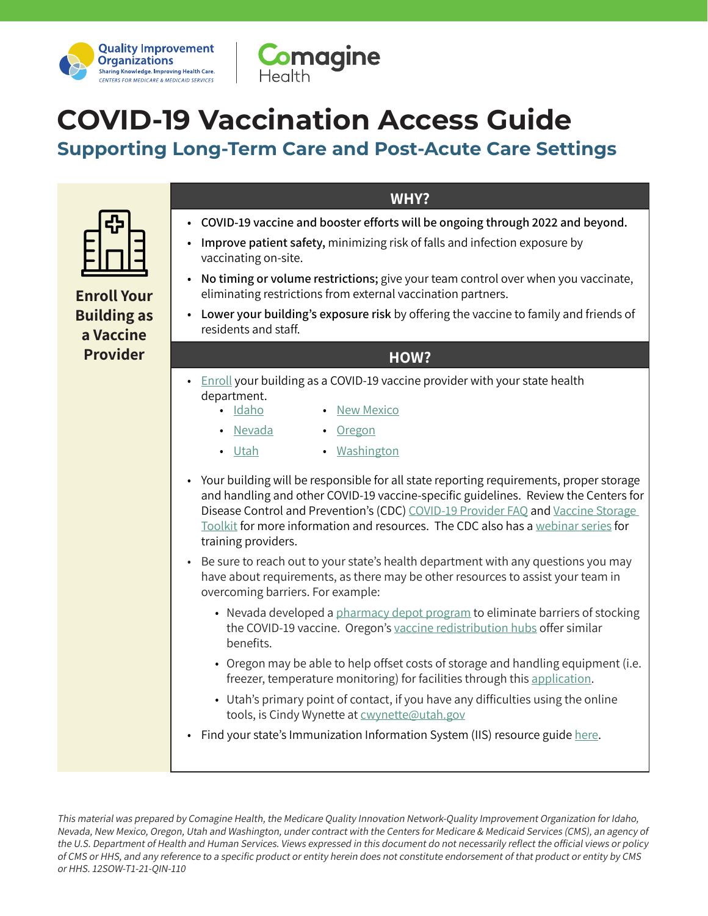



# **COVID-19 Vaccination Access Guide**

# **Supporting Long-Term Care and Post-Acute Care Settings**



**Enroll Your Building as a Vaccine Provider**

#### **WHY?**

- **• COVID-19 vaccine and booster efforts will be ongoing through 2022 and beyond.**
- **• Improve patient safety,** minimizing risk of falls and infection exposure by vaccinating on-site.
- **• No timing or volume restrictions;** give your team control over when you vaccinate, eliminating restrictions from external vaccination partners.
- **• Lower your building's exposure risk** by offering the vaccine to family and friends of residents and staff.

#### **HOW?**

- [Enroll](https://www.cdc.gov/vaccines/covid-19/provider-enrollment.html) your building as a COVID-19 vaccine provider with your state health department.
	- [Idaho](https://healthandwelfare.idaho.gov/providers/immunization-providers/covid-19-vaccination-providers) • [New Mexico](https://cv.nmhealth.org/providers/vaccines/)
	- [Nevada](https://dpbh.nv.gov/Programs/Immunization/COVID/COVID_Vaccine/) • [Oregon](https://www.oregon.gov/oha/PH/PREVENTIONWELLNESS/VACCINESIMMUNIZATION/IMMUNIZATIONPROVIDERRESOURCES/Pages/COVIDvaccine.aspx)
	- [Utah](https://immunize.utah.gov/covid-19-vaccine) • [Washington](https://www.doh.wa.gov/Emergencies/COVID19/HealthcareProviders/VaccineInformationforHealthcareProviders/FederalProgramEnrollment)
- Your building will be responsible for all state reporting requirements, proper storage and handling and other COVID-19 vaccine-specific guidelines. Review the Centers for Disease Control and Prevention's (CDC) [COVID-19 Provider FAQ](https://www.cdc.gov/vaccines/covid-19/vaccine-providers-faq.html) and [Vaccine Storage](https://www.cdc.gov/vaccines/hcp/admin/storage/toolkit/storage-handling-toolkit.pdf)  [Toolkit](https://www.cdc.gov/vaccines/hcp/admin/storage/toolkit/storage-handling-toolkit.pdf) for more information and resources. The CDC also has a [webinar series](https://www.cdc.gov/vaccines/covid-19/training-education/webinars.html) for training providers.
- Be sure to reach out to your state's health department with any questions you may have about requirements, as there may be other resources to assist your team in overcoming barriers. For example:
	- Nevada developed a [pharmacy depot program](https://dpbh.nv.gov/Programs/Immunization/COVID/COVID-19_vaccine_Pharmacy_Depot_Program) to eliminate barriers of stocking the COVID-19 vaccine. Oregon's [vaccine redistribution hubs](https://www.oregon.gov/oha/PH/PREVENTIONWELLNESS/VACCINESIMMUNIZATION/IMMUNIZATIONPROVIDERRESOURCES/COVIDDocuments/COVIDVacRedistributionHubs.pdf) offer similar benefits.
	- Oregon may be able to help offset costs of storage and handling equipment (i.e. freezer, temperature monitoring) for facilities through this [application](https://app.smartsheet.com/b/publish?EQBCT=1e38f1448f5f424fb0d478adeb7a144b).
	- Utah's primary point of contact, if you have any difficulties using the online tools, is Cindy Wynette at **[cwynette@utah.gov](mailto:cwynette%40utah.gov?subject=)**
- Find your state's Immunization Information System (IIS) resource guide [here.](https://comagine.org/resource/1667)

This material was prepared by Comagine Health, the Medicare Quality Innovation Network-Quality Improvement Organization for Idaho, Nevada, New Mexico, Oregon, Utah and Washington, under contract with the Centers for Medicare & Medicaid Services (CMS), an agency of the U.S. Department of Health and Human Services. Views expressed in this document do not necessarily reflect the official views or policy of CMS or HHS, and any reference to a specific product or entity herein does not constitute endorsement of that product or entity by CMS or HHS. 12SOW-T1-21-QIN-110